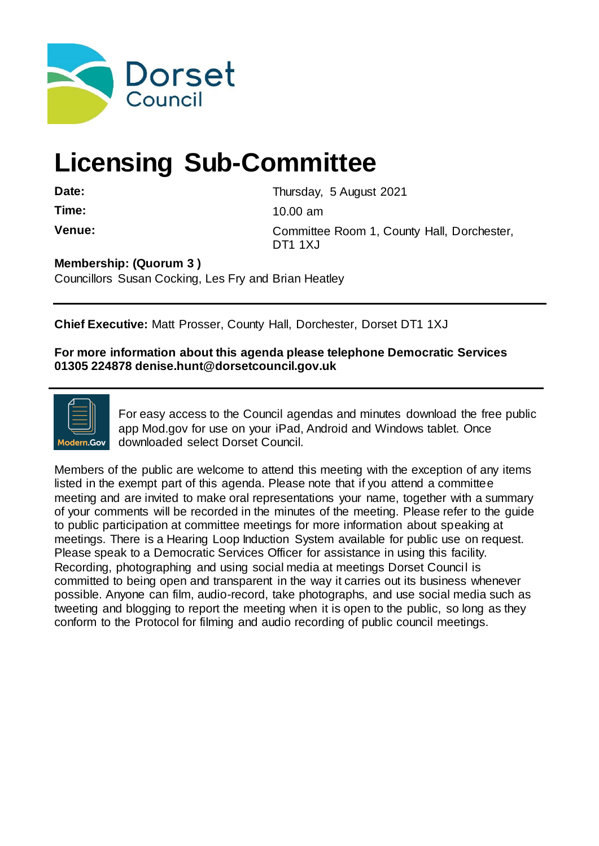

# **Licensing Sub-Committee**

**Date:** Thursday, 5 August 2021 **Time:** 10.00 am **Venue:** Committee Room 1, County Hall, Dorchester, DT1 1XJ

**Membership: (Quorum 3 )** 

Councillors Susan Cocking, Les Fry and Brian Heatley

**Chief Executive:** Matt Prosser, County Hall, Dorchester, Dorset DT1 1XJ

**For more information about this agenda please telephone Democratic Services 01305 224878 denise.hunt@dorsetcouncil.gov.uk**



For easy access to the Council agendas and minutes download the free public app Mod.gov for use on your iPad, Android and Windows tablet. Once downloaded select Dorset Council.

Members of the public are welcome to attend this meeting with the exception of any items listed in the exempt part of this agenda. Please note that if you attend a committee meeting and are invited to make oral representations your name, together with a summary of your comments will be recorded in the minutes of the meeting. Please refer to the guide to public participation at committee meetings for more information about speaking at meetings. There is a Hearing Loop Induction System available for public use on request. Please speak to a Democratic Services Officer for assistance in using this facility. Recording, photographing and using social media at meetings Dorset Council is committed to being open and transparent in the way it carries out its business whenever possible. Anyone can film, audio-record, take photographs, and use social media such as tweeting and blogging to report the meeting when it is open to the public, so long as they conform to the Protocol for filming and audio recording of public council meetings.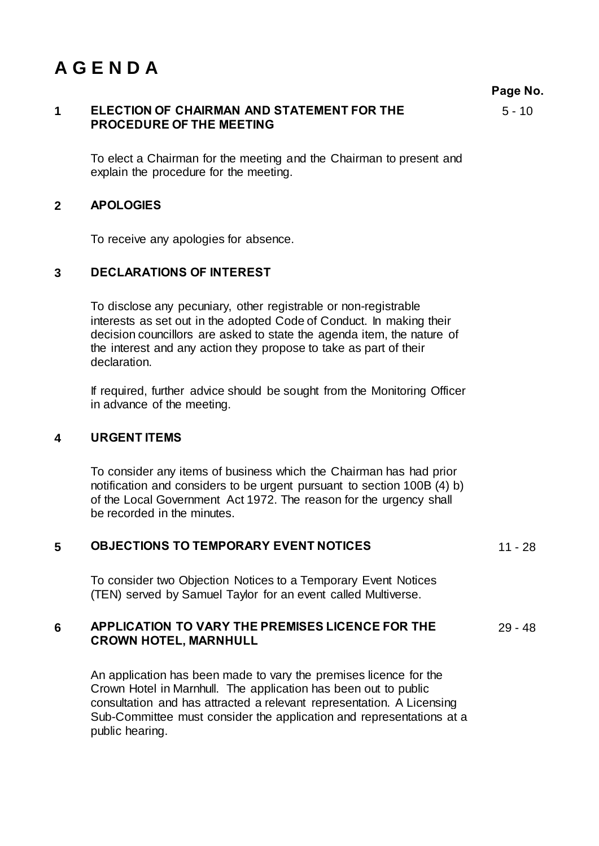## **A G E N D A**

**Page No.**

#### **1 ELECTION OF CHAIRMAN AND STATEMENT FOR THE PROCEDURE OF THE MEETING**

 $5 - 10$ 

To elect a Chairman for the meeting and the Chairman to present and explain the procedure for the meeting.

### **2 APOLOGIES**

To receive any apologies for absence.

### **3 DECLARATIONS OF INTEREST**

To disclose any pecuniary, other registrable or non-registrable interests as set out in the adopted Code of Conduct. In making their decision councillors are asked to state the agenda item, the nature of the interest and any action they propose to take as part of their declaration.

If required, further advice should be sought from the Monitoring Officer in advance of the meeting.

#### **4 URGENT ITEMS**

To consider any items of business which the Chairman has had prior notification and considers to be urgent pursuant to section 100B (4) b) of the Local Government Act 1972. The reason for the urgency shall be recorded in the minutes.

| <b>OBJECTIONS TO TEMPORARY EVENT NOTICES</b> | $11 - 28$ |
|----------------------------------------------|-----------|
|                                              |           |

To consider two Objection Notices to a Temporary Event Notices (TEN) served by Samuel Taylor for an event called Multiverse.

#### **6 APPLICATION TO VARY THE PREMISES LICENCE FOR THE CROWN HOTEL, MARNHULL** 29 - 48

An application has been made to vary the premises licence for the Crown Hotel in Marnhull. The application has been out to public consultation and has attracted a relevant representation. A Licensing Sub-Committee must consider the application and representations at a public hearing.